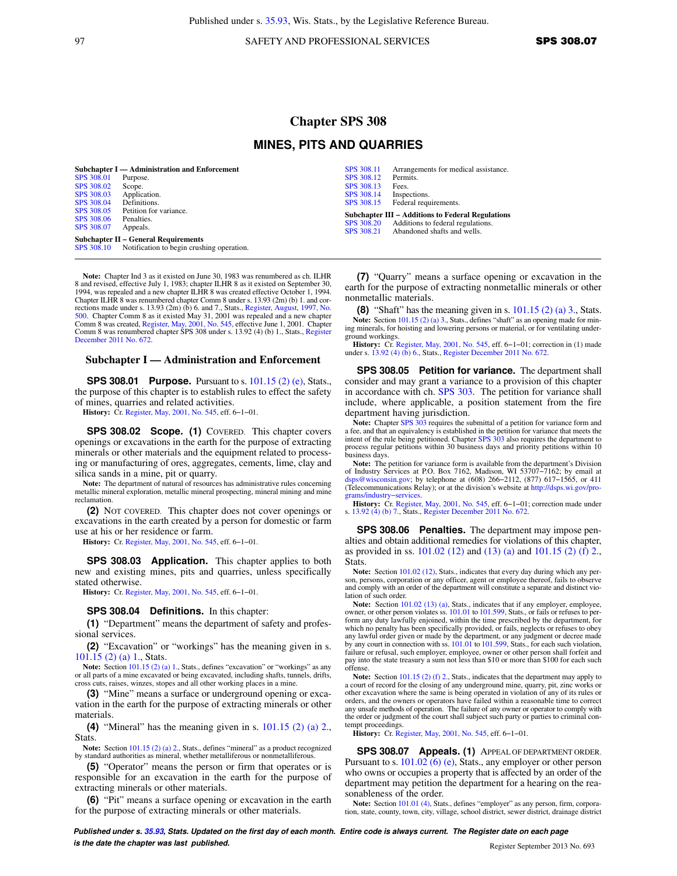Published under s. [35.93](https://docs.legis.wisconsin.gov/document/statutes/35.93), Wis. Stats., by the Legislative Reference Bureau.

97 SAFETY AND PROFESSIONAL SERVICES **SPS 308.07** 

# **Chapter SPS 308**

## **MINES, PITS AND QUARRIES**

[SPS 308.12](https://docs.legis.wisconsin.gov/document/administrativecode/SPS%20308.12) Perm<br>SPS 308.13 Fees. [SPS 308.13](https://docs.legis.wisconsin.gov/document/administrativecode/SPS%20308.13)<br>SPS 308.14

[SPS 308.14](https://docs.legis.wisconsin.gov/document/administrativecode/SPS%20308.14) Inspections.<br>SPS 308.15 Federal requ

|                   | Subchapter I — Administration and Enforcement        |
|-------------------|------------------------------------------------------|
| <b>SPS 308.01</b> | Purpose.                                             |
| SPS 308.02        | Scope.                                               |
| SPS 308.03        | Application.                                         |
| SPS 308.04        | Definitions.                                         |
| SPS 308.05        | Petition for variance.                               |
| SPS 308.06        | Penalties.                                           |
| SPS 308.07        | Appeals.                                             |
|                   | <b>Subchapter II – General Requirements</b>          |
|                   | SPS 308.10 Notification to begin crushing operation. |

**Note:** Chapter Ind 3 as it existed on June 30, 1983 was renumbered as ch. ILHR 8 and revised, effective July 1, 1983; chapter ILHR 8 as it existed on September 30, 1994, was repealed and a new chapter ILHR 8 was created effective October 1, 1994. Chapter ILHR 8 was renumbered chapter Comm 8 under s. 13.93 (2m) (b) 1. and corrections made under s. 13.93 (2m) (b) 6. and 7., Stats., [Register, August, 1997, No.](https://docs.legis.wisconsin.gov/document/register/500/B/toc) [500](https://docs.legis.wisconsin.gov/document/register/500/B/toc). Chapter Comm 8 as it existed May 31, 2001 was repealed and a new chapter Comm 8 was created, [Register, May, 2001, No. 545,](https://docs.legis.wisconsin.gov/document/register/545/B/toc) effective June 1, 2001. Chapter Comm 8 was renumbered chapter SPS 308 under s. 13.92 (4) (b) 1., Stats., [Register](https://docs.legis.wisconsin.gov/document/register/672/B/toc) [December 2011 No. 672](https://docs.legis.wisconsin.gov/document/register/672/B/toc).

### **Subchapter I — Administration and Enforcement**

**SPS 308.01 Purpose.** Pursuant to s. [101.15 \(2\) \(e\)](https://docs.legis.wisconsin.gov/document/statutes/101.15(2)(e)), Stats., the purpose of this chapter is to establish rules to effect the safety of mines, quarries and related activities.

**History:** Cr. [Register, May, 2001, No. 545](https://docs.legis.wisconsin.gov/document/register/545/B/toc), eff. 6−1−01.

**SPS 308.02 Scope. (1)** COVERED. This chapter covers openings or excavations in the earth for the purpose of extracting minerals or other materials and the equipment related to processing or manufacturing of ores, aggregates, cements, lime, clay and silica sands in a mine, pit or quarry.

**Note:** The department of natural of resources has administrative rules concerning metallic mineral exploration, metallic mineral prospecting, mineral mining and mine reclamation.

**(2)** NOT COVERED. This chapter does not cover openings or excavations in the earth created by a person for domestic or farm use at his or her residence or farm.

**History:** Cr. [Register, May, 2001, No. 545](https://docs.legis.wisconsin.gov/document/register/545/B/toc), eff. 6−1−01.

**SPS 308.03 Application.** This chapter applies to both new and existing mines, pits and quarries, unless specifically stated otherwise.

**History:** Cr. [Register, May, 2001, No. 545](https://docs.legis.wisconsin.gov/document/register/545/B/toc), eff. 6−1−01.

#### **SPS 308.04 Definitions.** In this chapter:

**(1)** "Department" means the department of safety and professional services.

**(2)** "Excavation" or "workings" has the meaning given in s. [101.15 \(2\) \(a\) 1.,](https://docs.legis.wisconsin.gov/document/statutes/101.15(2)(a)1.) Stats.

**Note:** Section 101.15 (2) (a) 1. Stats., defines "excavation" or "workings" as any or all parts of a mine excavated or being excavated, including shafts, tunnels, drifts, cross cuts, raises, winzes, stopes and all other working places in a mine.

**(3)** "Mine" means a surface or underground opening or excavation in the earth for the purpose of extracting minerals or other materials.

**(4)** "Mineral" has the meaning given in s. [101.15 \(2\) \(a\) 2.,](https://docs.legis.wisconsin.gov/document/statutes/101.15(2)(a)2.) Stats.

Note: Section [101.15 \(2\) \(a\) 2.,](https://docs.legis.wisconsin.gov/document/statutes/101.15(2)(a)2.) Stats., defines "mineral" as a product recognized by standard authorities as mineral, whether metalliferous or nonmetalliferous.

**(5)** "Operator" means the person or firm that operates or is responsible for an excavation in the earth for the purpose of extracting minerals or other materials.

**(6)** "Pit" means a surface opening or excavation in the earth for the purpose of extracting minerals or other materials.

**(7)** "Quarry" means a surface opening or excavation in the earth for the purpose of extracting nonmetallic minerals or other nonmetallic materials.

[SPS 308.11](https://docs.legis.wisconsin.gov/document/administrativecode/SPS%20308.11) Arrangements for medical assistance.<br>SPS 308.12 Permits.

Federal requirements. **Subchapter III − Additions to Federal Regulations** [SPS 308.20](https://docs.legis.wisconsin.gov/document/administrativecode/SPS%20308.20) Additions to federal regulations.<br>SPS 308.21 Abandoned shafts and wells. Abandoned shafts and wells.

**(8)** "Shaft" has the meaning given in s. [101.15 \(2\) \(a\) 3.,](https://docs.legis.wisconsin.gov/document/statutes/101.15(2)(a)3.) Stats. Note: Section [101.15 \(2\) \(a\) 3.,](https://docs.legis.wisconsin.gov/document/statutes/101.15(2)(a)3.) Stats., defines "shaft" as an opening made for mining minerals, for hoisting and lowering persons or material, or for ventilating underground workings.

**History:** Cr. [Register, May, 2001, No. 545](https://docs.legis.wisconsin.gov/document/register/545/B/toc), eff. 6–1–01; correction in (1) made under s. [13.92 \(4\) \(b\) 6.,](https://docs.legis.wisconsin.gov/document/statutes/13.92(4)(b)6.) Stats., [Register December 2011 No. 672.](https://docs.legis.wisconsin.gov/document/register/672/B/toc)

**SPS 308.05 Petition for variance.** The department shall consider and may grant a variance to a provision of this chapter in accordance with ch. [SPS 303.](https://docs.legis.wisconsin.gov/document/administrativecode/ch.%20SPS%20303) The petition for variance shall include, where applicable, a position statement from the fire department having jurisdiction.

**Note:** Chapter [SPS 303](https://docs.legis.wisconsin.gov/document/administrativecode/ch.%20SPS%20303) requires the submittal of a petition for variance form and a fee, and that an equivalency is established in the petition for variance that meets the intent of the rule being petitioned. Chapter [SPS 303](https://docs.legis.wisconsin.gov/document/administrativecode/ch.%20SPS%20303) also requires the department to process regular petitions within 30 business days and priority petitions within 10 business days.

**Note:** The petition for variance form is available from the department's Division of Industry Services at P.O. Box 7162, Madison, WI 53707−7162; by email at [dsps@wisconsin.gov](mailto:dsps@wisconsin.gov); by telephone at (608) 266−2112, (877) 617−1565, or 411 (Telecommunications Relay); or at the division's website at [http://dsps.wi.gov/pro](http://dsps.wi.gov/programs/industry-services)[grams/industry−services](http://dsps.wi.gov/programs/industry-services).

**History:** Cr. [Register, May, 2001, No. 545](https://docs.legis.wisconsin.gov/document/register/545/B/toc), eff. 6–1–01; correction made under s. [13.92 \(4\) \(b\) 7.](https://docs.legis.wisconsin.gov/document/statutes/13.92(4)(b)7.), Stats., [Register December 2011 No. 672](https://docs.legis.wisconsin.gov/document/register/672/B/toc).

**SPS 308.06 Penalties.** The department may impose penalties and obtain additional remedies for violations of this chapter, as provided in ss. [101.02 \(12\)](https://docs.legis.wisconsin.gov/document/statutes/101.02(12)) and [\(13\) \(a\)](https://docs.legis.wisconsin.gov/document/statutes/101.02(13)(a)) and [101.15 \(2\) \(f\) 2.,](https://docs.legis.wisconsin.gov/document/statutes/101.15(2)(f)2.) Stats.

**Note:** Section [101.02 \(12\),](https://docs.legis.wisconsin.gov/document/statutes/101.02(12)) Stats., indicates that every day during which any person, persons, corporation or any officer, agent or employee thereof, fails to observe and comply with an order of the department will constitute a separate and distinct violation of such order.

Note: Section [101.02 \(13\) \(a\)](https://docs.legis.wisconsin.gov/document/statutes/101.02(13)(a)), Stats., indicates that if any employer, employee, owner, or other person violates ss. [101.01](https://docs.legis.wisconsin.gov/document/statutes/101.01) to [101.599,](https://docs.legis.wisconsin.gov/document/statutes/101.599) Stats., or fails or refuses to perform any duty lawfully enjoined, within the time prescribed by the department, for which no penalty has been specifically provided, or fails, neglects or refuses to obey any lawful order given or made by the department, or any judgment or decree made by any court in connection with ss. [101.01](https://docs.legis.wisconsin.gov/document/statutes/101.01) to [101.599,](https://docs.legis.wisconsin.gov/document/statutes/101.599) Stats., for each such violation, failure or refusal, such employer, employee, owner or other person shall forfeit and pay into the state treasury a sum not less than \$10 or more than \$100 for each such offense.

**Note:** Section [101.15 \(2\) \(f\) 2.](https://docs.legis.wisconsin.gov/document/statutes/101.15(2)(f)2.), Stats., indicates that the department may apply to a court of record for the closing of any underground mine, quarry, pit, zinc works or other excavation where the same is being operated in violation of any of its rules or orders, and the owners or operators have failed within a reasonable time to correct any unsafe methods of operation. The failure of any owner or operator to comply with the order or judgment of the court shall subject such party or parties to criminal contempt proceedings.

**History:** Cr. [Register, May, 2001, No. 545](https://docs.legis.wisconsin.gov/document/register/545/B/toc), eff. 6−1−01.

**SPS 308.07 Appeals. (1)** APPEAL OF DEPARTMENT ORDER. Pursuant to s. [101.02 \(6\) \(e\)](https://docs.legis.wisconsin.gov/document/statutes/101.02(6)(e)), Stats., any employer or other person who owns or occupies a property that is affected by an order of the department may petition the department for a hearing on the reasonableness of the order.

Note: Section [101.01 \(4\),](https://docs.legis.wisconsin.gov/document/statutes/101.01(4)) Stats., defines "employer" as any person, firm, corporation, state, county, town, city, village, school district, sewer district, drainage district

**Published under s. [35.93,](https://docs.legis.wisconsin.gov/document/statutes/35.93) Stats. Updated on the first day of each month. Entire code is always current. The Register date on each page is the date the chapter was last published. is the date the chapter was last published.** Register September 2013 No. 693